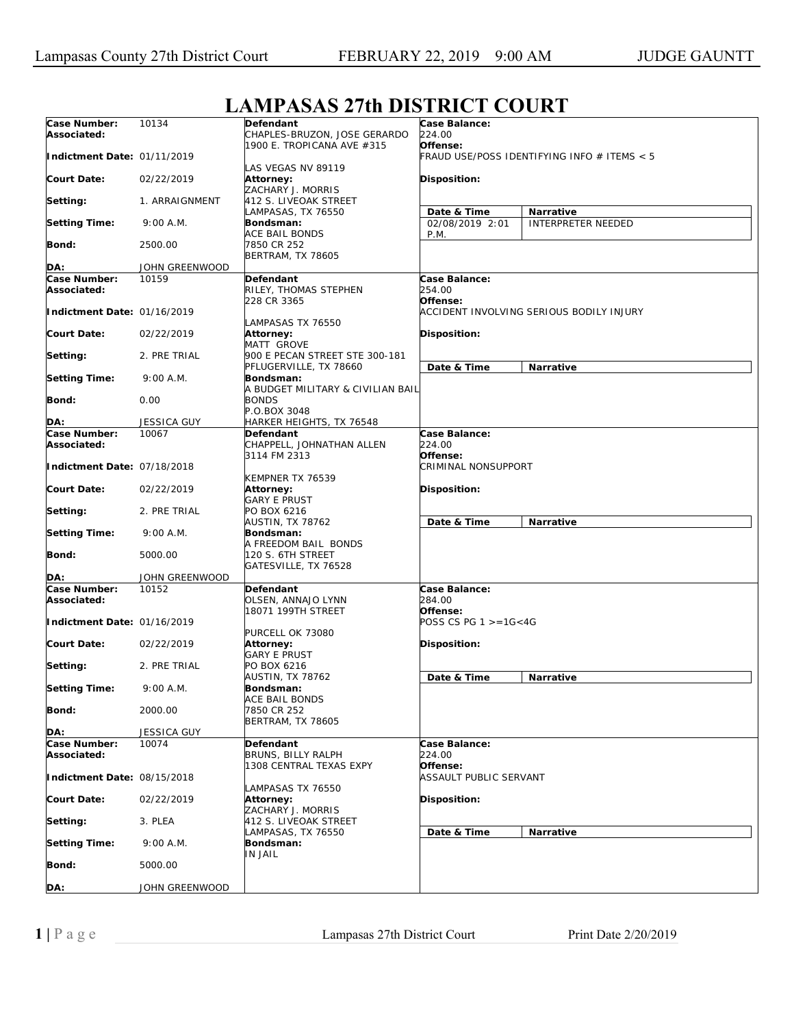| Case Number:                | 10134                | Defendant                                   | Case Balance:                               |                           |  |
|-----------------------------|----------------------|---------------------------------------------|---------------------------------------------|---------------------------|--|
| Associated:                 |                      | CHAPLES-BRUZON, JOSE GERARDO                | 224.00                                      |                           |  |
|                             |                      | 1900 E. TROPICANA AVE #315                  | Offense:                                    |                           |  |
| Indictment Date: 01/11/2019 |                      |                                             | FRAUD USE/POSS IDENTIFYING INFO # ITEMS < 5 |                           |  |
|                             |                      | LAS VEGAS NV 89119                          |                                             |                           |  |
| Court Date:                 | 02/22/2019           | Attorney:                                   | <b>Disposition:</b>                         |                           |  |
|                             |                      | ZACHARY J. MORRIS                           |                                             |                           |  |
| Setting:                    | 1. ARRAIGNMENT       | 412 S. LIVEOAK STREET<br>LAMPASAS, TX 76550 | Date & Time<br><b>Narrative</b>             |                           |  |
| <b>Setting Time:</b>        | 9:00 A.M.            | Bondsman:                                   | 02/08/2019 2:01                             | <b>INTERPRETER NEEDED</b> |  |
|                             |                      | <b>ACE BAIL BONDS</b>                       | P.M.                                        |                           |  |
| Bond:                       | 2500.00              | 7850 CR 252                                 |                                             |                           |  |
|                             |                      | BERTRAM, TX 78605                           |                                             |                           |  |
| DA:                         | JOHN GREENWOOD       |                                             |                                             |                           |  |
| Case Number:                | 10159                | <b>Defendant</b>                            | Case Balance:                               |                           |  |
| Associated:                 |                      | RILEY, THOMAS STEPHEN                       | 254.00                                      |                           |  |
|                             |                      | 228 CR 3365                                 | Offense:                                    |                           |  |
| Indictment Date: 01/16/2019 |                      | LAMPASAS TX 76550                           | ACCIDENT INVOLVING SERIOUS BODILY INJURY    |                           |  |
| <b>Court Date:</b>          | 02/22/2019           | Attorney:                                   | <b>Disposition:</b>                         |                           |  |
|                             |                      | MATT GROVE                                  |                                             |                           |  |
| Setting:                    | 2. PRE TRIAL         | 900 E PECAN STREET STE 300-181              |                                             |                           |  |
|                             |                      | PFLUGERVILLE, TX 78660                      | Date & Time<br><b>Narrative</b>             |                           |  |
| <b>Setting Time:</b>        | 9:00 A.M.            | Bondsman:                                   |                                             |                           |  |
|                             |                      | A BUDGET MILITARY & CIVILIAN BAIL           |                                             |                           |  |
| Bond:                       | 0.00                 | <b>BONDS</b>                                |                                             |                           |  |
| DA:                         | <b>JESSICA GUY</b>   | P.O.BOX 3048<br>HARKER HEIGHTS, TX 76548    |                                             |                           |  |
| Case Number:                | 10067                | Defendant                                   | Case Balance:                               |                           |  |
| Associated:                 |                      | CHAPPELL, JOHNATHAN ALLEN                   | 224.00                                      |                           |  |
|                             |                      | 3114 FM 2313                                | Offense:                                    |                           |  |
| Indictment Date: 07/18/2018 |                      |                                             | CRIMINAL NONSUPPORT                         |                           |  |
|                             |                      | KEMPNER TX 76539                            |                                             |                           |  |
| <b>Court Date:</b>          | 02/22/2019           | Attorney:                                   | <b>Disposition:</b>                         |                           |  |
|                             |                      | <b>GARY E PRUST</b>                         |                                             |                           |  |
| Setting:                    | 2. PRE TRIAL         | PO BOX 6216                                 |                                             |                           |  |
| <b>Setting Time:</b>        | 9:00 A.M.            | AUSTIN, TX 78762<br>Bondsman:               | Date & Time<br>Narrative                    |                           |  |
|                             |                      | A FREEDOM BAIL BONDS                        |                                             |                           |  |
| Bond:                       | 5000.00              | 120 S. 6TH STREET                           |                                             |                           |  |
|                             |                      | GATESVILLE, TX 76528                        |                                             |                           |  |
| DA:                         | JOHN GREENWOOD       |                                             |                                             |                           |  |
| Case Number:                | 10152                | Defendant                                   | Case Balance:                               |                           |  |
| Associated:                 |                      | OLSEN, ANNAJO LYNN                          | 284.00                                      |                           |  |
|                             |                      | 18071 199TH STREET                          | Offense:                                    |                           |  |
| Indictment Date: 01/16/2019 |                      |                                             | POSS CS PG $1 > = 16 < 4G$                  |                           |  |
| <b>Court Date:</b>          | 02/22/2019           | PURCELL OK 73080<br><b>Attorney:</b>        | <b>Disposition:</b>                         |                           |  |
|                             |                      | <b>GARY E PRUST</b>                         |                                             |                           |  |
| Setting:                    | 2. PRE TRIAL         | PO BOX 6216                                 |                                             |                           |  |
|                             |                      | AUSTIN, TX 78762                            | Date & Time<br>Narrative                    |                           |  |
| <b>Setting Time:</b>        | 9:00 A.M.            | Bondsman:                                   |                                             |                           |  |
|                             |                      | ACE BAIL BONDS                              |                                             |                           |  |
| Bond:                       | 2000.00              | 7850 CR 252                                 |                                             |                           |  |
|                             |                      | <b>BERTRAM, TX 78605</b>                    |                                             |                           |  |
| DA:<br>Case Number:         | JESSICA GUY<br>10074 | <b>Defendant</b>                            | Case Balance:                               |                           |  |
| Associated:                 |                      | BRUNS, BILLY RALPH                          | 224.00                                      |                           |  |
|                             |                      | 1308 CENTRAL TEXAS EXPY                     | Offense:                                    |                           |  |
| Indictment Date: 08/15/2018 |                      |                                             | ASSAULT PUBLIC SERVANT                      |                           |  |
|                             |                      | LAMPASAS TX 76550                           |                                             |                           |  |
| <b>Court Date:</b>          | 02/22/2019           | Attorney:                                   | Disposition:                                |                           |  |
|                             |                      | ZACHARY J. MORRIS                           |                                             |                           |  |
| Setting:                    | 3. PLEA              | 412 S. LIVEOAK STREET                       |                                             |                           |  |
|                             |                      | LAMPASAS, TX 76550                          | Date & Time<br>Narrative                    |                           |  |
| <b>Setting Time:</b>        | 9:00 A.M.            | Bondsman:<br>IN JAIL                        |                                             |                           |  |
| Bond:                       | 5000.00              |                                             |                                             |                           |  |
|                             |                      |                                             |                                             |                           |  |
| DA:                         | JOHN GREENWOOD       |                                             |                                             |                           |  |

## **LAMPASAS 27th DISTRICT COURT**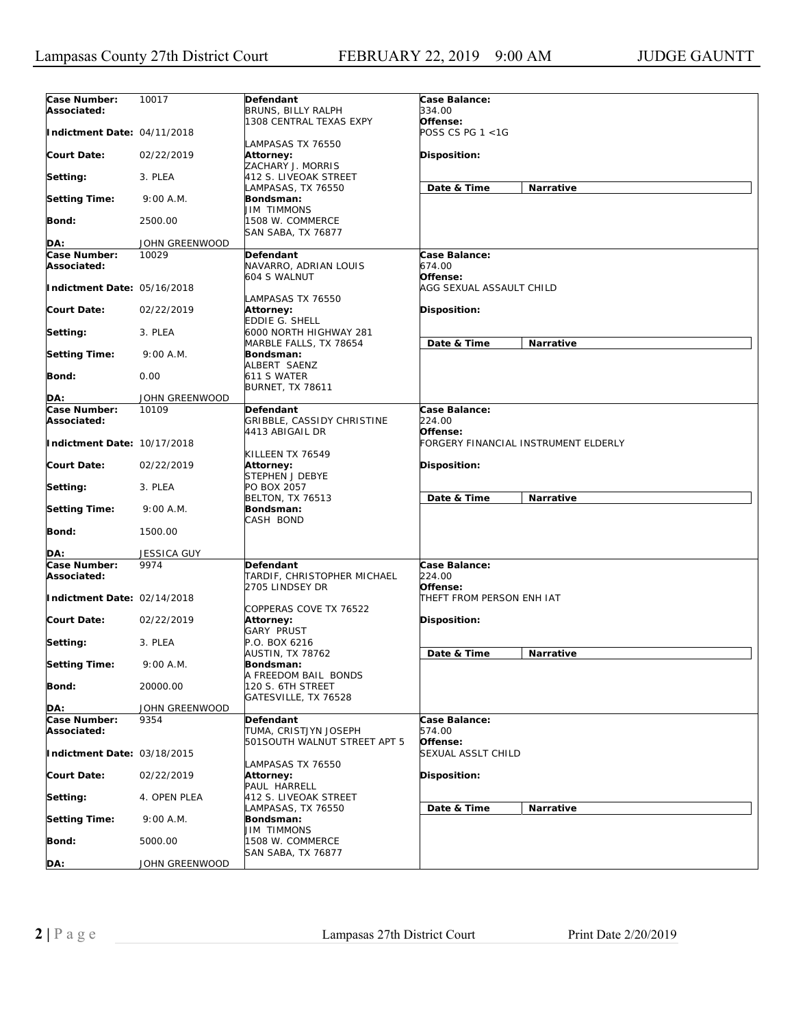| Case Number:<br>Associated: | 10017          | <b>Defendant</b><br>BRUNS, BILLY RALPH                       | Case Balance:<br>334.00                          |
|-----------------------------|----------------|--------------------------------------------------------------|--------------------------------------------------|
| Indictment Date: 04/11/2018 |                | 1308 CENTRAL TEXAS EXPY                                      | Offense:<br>POSS CS PG 1 <1G                     |
| <b>Court Date:</b>          | 02/22/2019     | LAMPASAS TX 76550<br>Attorney:<br>ZACHARY J. MORRIS          | Disposition:                                     |
| Setting:                    | 3. PLEA        | 412 S. LIVEOAK STREET                                        |                                                  |
| <b>Setting Time:</b>        | 9:00 A.M.      | LAMPASAS, TX 76550<br>Bondsman:                              | Date & Time<br>Narrative                         |
| Bond:                       | 2500.00        | <b>JIM TIMMONS</b><br>1508 W. COMMERCE<br>SAN SABA, TX 76877 |                                                  |
| DA:                         | JOHN GREENWOOD |                                                              |                                                  |
| Case Number:                | 10029          | Defendant                                                    | Case Balance:                                    |
| Associated:                 |                | NAVARRO, ADRIAN LOUIS<br>604 S WALNUT                        | 674.00<br>Offense:                               |
| Indictment Date: 05/16/2018 |                | LAMPASAS TX 76550                                            | AGG SEXUAL ASSAULT CHILD                         |
| <b>Court Date:</b>          | 02/22/2019     | <b>Attorney:</b><br>EDDIE G. SHELL                           | Disposition:                                     |
| Setting:                    | 3. PLEA        | 6000 NORTH HIGHWAY 281<br>MARBLE FALLS, TX 78654             | Date & Time<br><b>Narrative</b>                  |
| <b>Setting Time:</b>        | 9:00 A.M.      | Bondsman:<br>ALBERT SAENZ                                    |                                                  |
| Bond:                       | 0.00           | 611 S WATER<br><b>BURNET, TX 78611</b>                       |                                                  |
| DA:                         | JOHN GREENWOOD |                                                              |                                                  |
| Case Number:                | 10109          | Defendant                                                    | Case Balance:                                    |
| Associated:                 |                | GRIBBLE, CASSIDY CHRISTINE                                   | 224.00                                           |
| Indictment Date: 10/17/2018 |                | 4413 ABIGAIL DR                                              | Offense:<br>FORGERY FINANCIAL INSTRUMENT ELDERLY |
| Court Date:                 | 02/22/2019     | KILLEEN TX 76549<br><b>Attorney:</b><br>STEPHEN J DEBYE      | Disposition:                                     |
| Setting:                    | 3. PLEA        | PO BOX 2057<br><b>BELTON, TX 76513</b>                       | Date & Time<br>Narrative                         |
| <b>Setting Time:</b>        | 9:00 A.M.      | Bondsman:<br>CASH BOND                                       |                                                  |
| Bond:                       | 1500.00        |                                                              |                                                  |
| DA:                         | JESSICA GUY    |                                                              |                                                  |
| Case Number:<br>Associated: | 9974           | Defendant<br>TARDIF, CHRISTOPHER MICHAEL<br>2705 LINDSEY DR  | Case Balance:<br>224.00<br>Offense:              |
| Indictment Date: 02/14/2018 |                |                                                              | THEFT FROM PERSON ENH IAT                        |
| <b>Court Date:</b>          | 02/22/2019     | COPPERAS COVE TX 76522<br>Attorney:<br><b>GARY PRUST</b>     | Disposition:                                     |
| Setting:                    | 3. PLEA        | P.O. BOX 6216<br>AUSTIN, TX 78762                            | Date & Time<br>Narrative                         |
| <b>Setting Time:</b>        | 9:00 A.M.      | Bondsman:<br>A FREEDOM BAIL BONDS                            |                                                  |
| <b>Bond:</b>                | 20000.00       | 120 S. 6TH STREET<br>GATESVILLE, TX 76528                    |                                                  |
| DA:                         | JOHN GREENWOOD |                                                              |                                                  |
| Case Number:                | 9354           | Defendant                                                    | Case Balance:                                    |
| Associated:                 |                | TUMA, CRISTJYN JOSEPH                                        | 574.00                                           |
| Indictment Date: 03/18/2015 |                | 501SOUTH WALNUT STREET APT 5                                 | Offense:<br><b>SEXUAL ASSLT CHILD</b>            |
| <b>Court Date:</b>          | 02/22/2019     | LAMPASAS TX 76550<br>Attorney:<br>PAUL HARRELL               | Disposition:                                     |
| Setting:                    | 4. OPEN PLEA   | 412 S. LIVEOAK STREET                                        |                                                  |
| <b>Setting Time:</b>        | 9:00 A.M.      | LAMPASAS, TX 76550<br><b>Bondsman:</b>                       | Date & Time<br>Narrative                         |
| Bond:                       | 5000.00        | <b>JIM TIMMONS</b><br>1508 W. COMMERCE                       |                                                  |
| DA:                         | JOHN GREENWOOD | SAN SABA, TX 76877                                           |                                                  |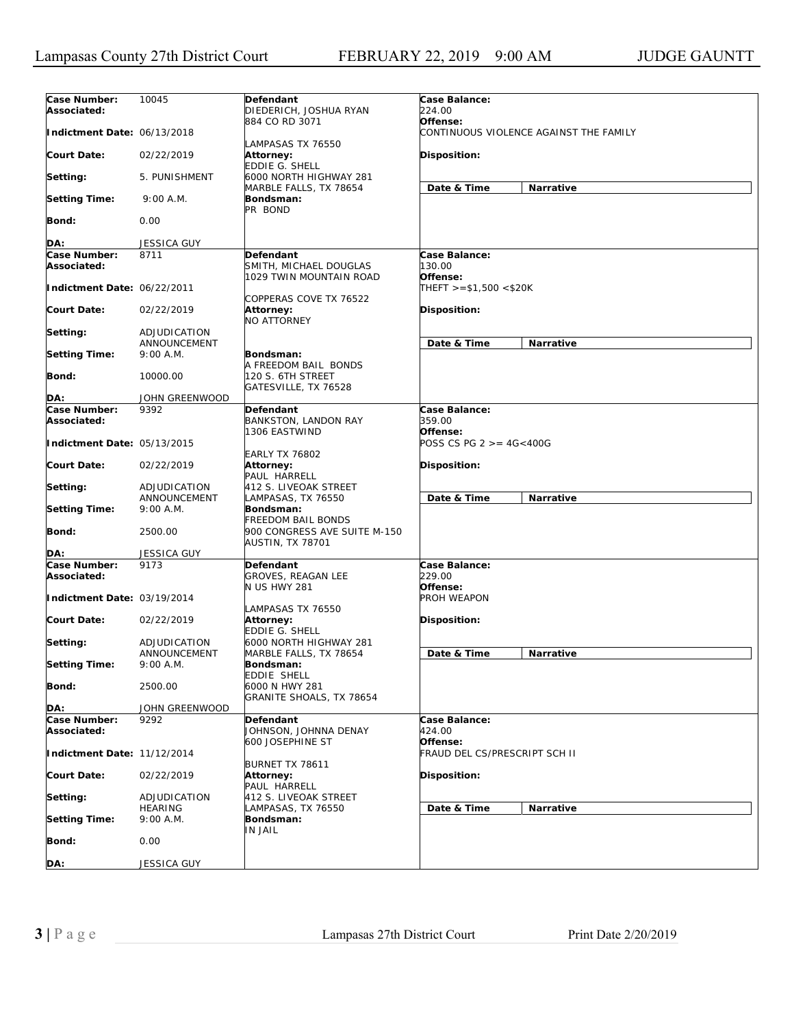| Case Number:<br>Associated: | 10045                          | Defendant<br>DIEDERICH, JOSHUA RYAN                               | Case Balance:<br>224.00                   |                                        |
|-----------------------------|--------------------------------|-------------------------------------------------------------------|-------------------------------------------|----------------------------------------|
| Indictment Date: 06/13/2018 |                                | 884 CO RD 3071                                                    | Offense:                                  | CONTINUOUS VIOLENCE AGAINST THE FAMILY |
| <b>Court Date:</b>          | 02/22/2019                     | LAMPASAS TX 76550<br>Attorney:<br>EDDIE G. SHELL                  | Disposition:                              |                                        |
| Setting:                    | 5. PUNISHMENT                  | 6000 NORTH HIGHWAY 281<br>MARBLE FALLS, TX 78654                  | Date & Time                               | Narrative                              |
| <b>Setting Time:</b>        | 9:00 A.M.                      | Bondsman:<br>PR BOND                                              |                                           |                                        |
| Bond:                       | 0.00                           |                                                                   |                                           |                                        |
| DA:                         | <b>JESSICA GUY</b>             |                                                                   |                                           |                                        |
| Case Number:                | 8711                           | Defendant                                                         | Case Balance:                             |                                        |
| Associated:                 |                                | SMITH, MICHAEL DOUGLAS<br>1029 TWIN MOUNTAIN ROAD                 | 130.00<br>Offense:                        |                                        |
| Indictment Date: 06/22/2011 |                                | COPPERAS COVE TX 76522                                            | $THEFT > = $1,500 < $20K$                 |                                        |
| <b>Court Date:</b>          | 02/22/2019                     | <b>Attorney:</b><br><b>NO ATTORNEY</b>                            | <b>Disposition:</b>                       |                                        |
| Setting:                    | ADJUDICATION<br>ANNOUNCEMENT   |                                                                   | Date & Time                               | Narrative                              |
| <b>Setting Time:</b>        | 9:00 A.M.                      | Bondsman:                                                         |                                           |                                        |
| Bond:                       | 10000.00                       | A FREEDOM BAIL BONDS<br>120 S. 6TH STREET<br>GATESVILLE, TX 76528 |                                           |                                        |
| DA:                         | JOHN GREENWOOD                 |                                                                   |                                           |                                        |
| Case Number:                | 9392                           | Defendant                                                         | Case Balance:                             |                                        |
| Associated:                 |                                | BANKSTON, LANDON RAY<br>1306 EASTWIND                             | 359.00<br>Offense:                        |                                        |
| Indictment Date: 05/13/2015 |                                | <b>EARLY TX 76802</b>                                             | POSS CS PG 2 >= 4G<400G                   |                                        |
| <b>Court Date:</b>          | 02/22/2019                     | Attorney:<br>PAUL HARRELL                                         | <b>Disposition:</b>                       |                                        |
| Setting:                    | ADJUDICATION<br>ANNOUNCEMENT   | 412 S. LIVEOAK STREET<br>LAMPASAS, TX 76550                       | Date & Time                               | <b>Narrative</b>                       |
| <b>Setting Time:</b>        | 9:00 A.M.                      | Bondsman:<br><b>FREEDOM BAIL BONDS</b>                            |                                           |                                        |
| <b>Bond:</b>                | 2500.00                        | 900 CONGRESS AVE SUITE M-150<br>AUSTIN, TX 78701                  |                                           |                                        |
| DA:                         | <b>JESSICA GUY</b>             |                                                                   |                                           |                                        |
| Case Number:<br>Associated: | 9173                           | Defendant<br><b>GROVES, REAGAN LEE</b><br><b>N US HWY 281</b>     | Case Balance:<br>229.00<br>Offense:       |                                        |
| Indictment Date: 03/19/2014 |                                | LAMPASAS TX 76550                                                 | PROH WEAPON                               |                                        |
| <b>Court Date:</b>          | 02/22/2019                     | Attorney:<br>EDDIE G. SHELL                                       | Disposition:                              |                                        |
| Setting:                    | ADJUDICATION<br>ANNOUNCEMENT   | 6000 NORTH HIGHWAY 281<br>MARBLE FALLS, TX 78654                  | Date & Time                               | Narrative                              |
| <b>Setting Time:</b>        | 9:00 A.M.                      | Bondsman:<br><b>EDDIE SHELL</b>                                   |                                           |                                        |
| <b>Bond:</b>                | 2500.00                        | 6000 N HWY 281<br>GRANITE SHOALS, TX 78654                        |                                           |                                        |
| DA:                         | JOHN GREENWOOD                 |                                                                   |                                           |                                        |
| Case Number:<br>Associated: | 9292                           | Defendant<br>JOHNSON, JOHNNA DENAY                                | Case Balance:<br>424.00                   |                                        |
| Indictment Date: 11/12/2014 |                                | 600 JOSEPHINE ST                                                  | Offense:<br>FRAUD DEL CS/PRESCRIPT SCH II |                                        |
| <b>Court Date:</b>          | 02/22/2019                     | BURNET TX 78611<br><b>Attorney:</b><br>PAUL HARRELL               | Disposition:                              |                                        |
| Setting:                    | ADJUDICATION<br><b>HEARING</b> | 412 S. LIVEOAK STREET<br>LAMPASAS, TX 76550                       | Date & Time                               | Narrative                              |
| <b>Setting Time:</b>        | 9:00 A.M.                      | Bondsman:<br>IN JAIL                                              |                                           |                                        |
| Bond:                       | 0.00                           |                                                                   |                                           |                                        |
| DA:                         | JESSICA GUY                    |                                                                   |                                           |                                        |